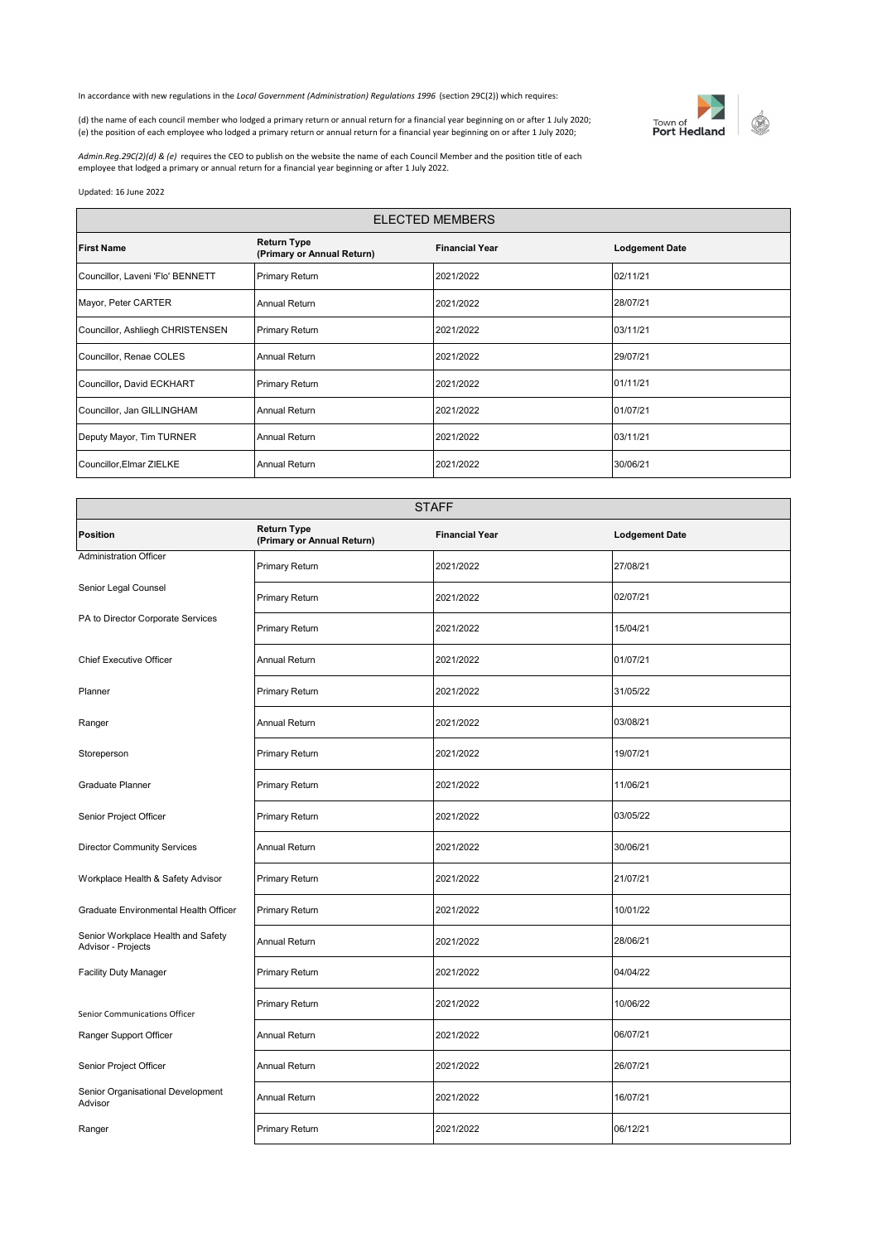In accordance with new regulations in the *Local Government (Administration) Regulations 1996* (section 29C(2)) which requires:



(d) the name of each council member who lodged a primary return or annual return for a financial year beginning on or after 1 July 2020; (e) the position of each employee who lodged a primary return or annual return for a financial year beginning on or after 1 July 2020;

*Admin.Reg.29C(2)(d) & (e)* requires the CEO to publish on the website the name of each Council Member and the position title of each employee that lodged a primary or annual return for a financial year beginning or after 1 July 2022.

Updated: 16 June 2022

| <b>ELECTED MEMBERS</b>           |                                                  |                       |                       |
|----------------------------------|--------------------------------------------------|-----------------------|-----------------------|
| <b>First Name</b>                | <b>Return Type</b><br>(Primary or Annual Return) | <b>Financial Year</b> | <b>Lodgement Date</b> |
| Councillor, Laveni 'Flo' BENNETT | <b>Primary Return</b>                            | 2021/2022             | 02/11/21              |
| Mayor, Peter CARTER              | Annual Return                                    | 2021/2022             | 28/07/21              |
| Councillor, Ashliegh CHRISTENSEN | <b>Primary Return</b>                            | 2021/2022             | 03/11/21              |
| Councillor, Renae COLES          | Annual Return                                    | 2021/2022             | 29/07/21              |
| Councillor, David ECKHART        | Primary Return                                   | 2021/2022             | 01/11/21              |
| Councillor, Jan GILLINGHAM       | Annual Return                                    | 2021/2022             | 01/07/21              |
| Deputy Mayor, Tim TURNER         | Annual Return                                    | 2021/2022             | 03/11/21              |
| Councillor, Elmar ZIELKE         | Annual Return                                    | 2021/2022             | 30/06/21              |

| <b>STAFF</b>                                             |                                           |                       |                       |  |
|----------------------------------------------------------|-------------------------------------------|-----------------------|-----------------------|--|
| <b>Position</b>                                          | Return Type<br>(Primary or Annual Return) | <b>Financial Year</b> | <b>Lodgement Date</b> |  |
| <b>Administration Officer</b>                            | Primary Return                            | 2021/2022             | 27/08/21              |  |
| Senior Legal Counsel                                     | Primary Return                            | 2021/2022             | 02/07/21              |  |
| PA to Director Corporate Services                        | Primary Return                            | 2021/2022             | 15/04/21              |  |
| <b>Chief Executive Officer</b>                           | <b>Annual Return</b>                      | 2021/2022             | 01/07/21              |  |
| Planner                                                  | Primary Return                            | 2021/2022             | 31/05/22              |  |
| Ranger                                                   | <b>Annual Return</b>                      | 2021/2022             | 03/08/21              |  |
| Storeperson                                              | Primary Return                            | 2021/2022             | 19/07/21              |  |
| <b>Graduate Planner</b>                                  | Primary Return                            | 2021/2022             | 11/06/21              |  |
| Senior Project Officer                                   | Primary Return                            | 2021/2022             | 03/05/22              |  |
| <b>Director Community Services</b>                       | <b>Annual Return</b>                      | 2021/2022             | 30/06/21              |  |
| Workplace Health & Safety Advisor                        | Primary Return                            | 2021/2022             | 21/07/21              |  |
| Graduate Environmental Health Officer                    | Primary Return                            | 2021/2022             | 10/01/22              |  |
| Senior Workplace Health and Safety<br>Advisor - Projects | Annual Return                             | 2021/2022             | 28/06/21              |  |
| <b>Facility Duty Manager</b>                             | Primary Return                            | 2021/2022             | 04/04/22              |  |
| Senior Communications Officer                            | Primary Return                            | 2021/2022             | 10/06/22              |  |
| Ranger Support Officer                                   | Annual Return                             | 2021/2022             | 06/07/21              |  |
| Senior Project Officer                                   | <b>Annual Return</b>                      | 2021/2022             | 26/07/21              |  |
| Senior Organisational Development<br>Advisor             | Annual Return                             | 2021/2022             | 16/07/21              |  |
| Ranger                                                   | Primary Return                            | 2021/2022             | 06/12/21              |  |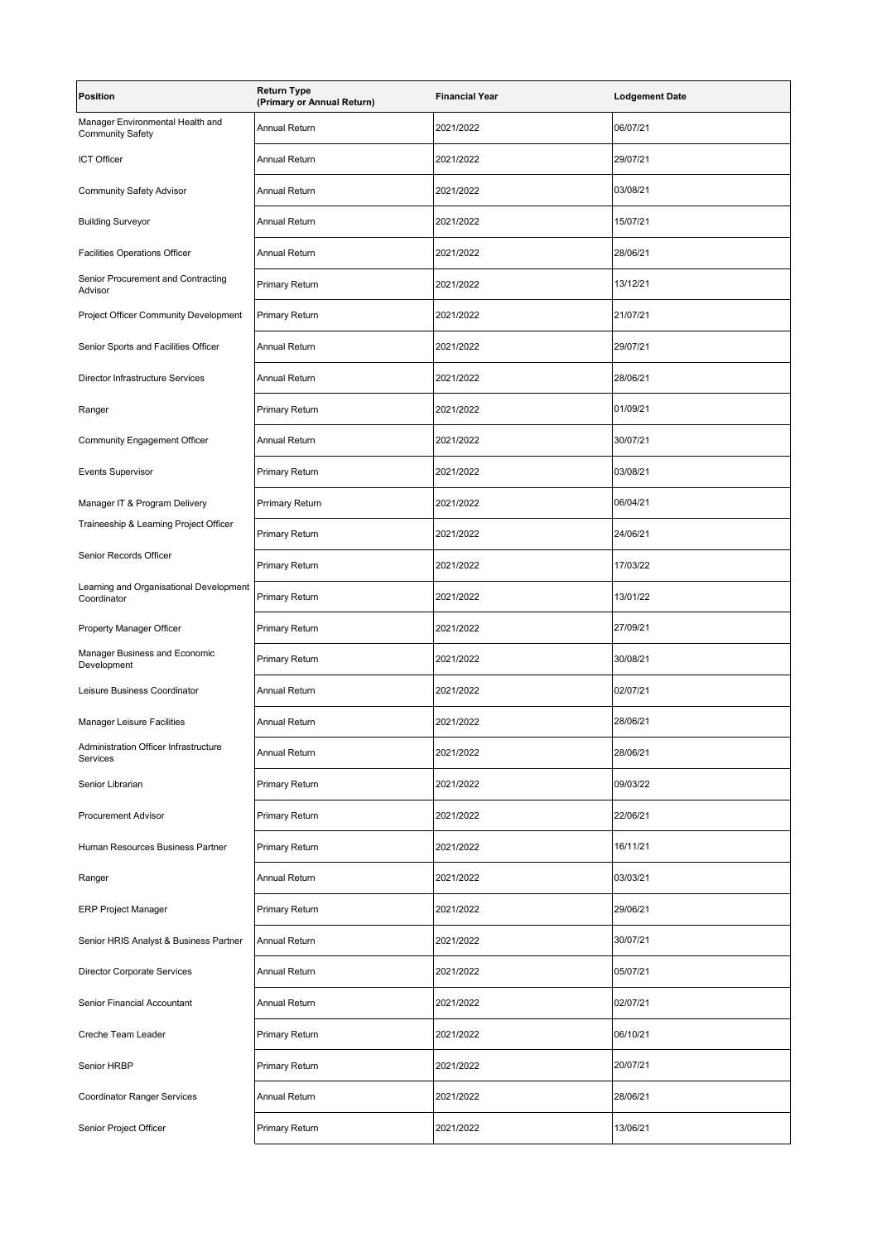| <b>Position</b>                                             | <b>Return Type</b><br>(Primary or Annual Return) | <b>Financial Year</b> | <b>Lodgement Date</b> |
|-------------------------------------------------------------|--------------------------------------------------|-----------------------|-----------------------|
| Manager Environmental Health and<br><b>Community Safety</b> | <b>Annual Return</b>                             | 2021/2022             | 06/07/21              |
| <b>ICT Officer</b>                                          | <b>Annual Return</b>                             | 2021/2022             | 29/07/21              |
| <b>Community Safety Advisor</b>                             | Annual Return                                    | 2021/2022             | 03/08/21              |
| <b>Building Surveyor</b>                                    | <b>Annual Return</b>                             | 2021/2022             | 15/07/21              |
| <b>Facilities Operations Officer</b>                        | Annual Return                                    | 2021/2022             | 28/06/21              |
| Senior Procurement and Contracting<br>Advisor               | Primary Return                                   | 2021/2022             | 13/12/21              |
| Project Officer Community Development                       | <b>Primary Return</b>                            | 2021/2022             | 21/07/21              |
| Senior Sports and Facilities Officer                        | <b>Annual Return</b>                             | 2021/2022             | 29/07/21              |
| Director Infrastructure Services                            | <b>Annual Return</b>                             | 2021/2022             | 28/06/21              |
| Ranger                                                      | <b>Primary Return</b>                            | 2021/2022             | 01/09/21              |
| Community Engagement Officer                                | <b>Annual Return</b>                             | 2021/2022             | 30/07/21              |
| <b>Events Supervisor</b>                                    | <b>Primary Return</b>                            | 2021/2022             | 03/08/21              |
| Manager IT & Program Delivery                               | <b>Prrimary Return</b>                           | 2021/2022             | 06/04/21              |
| Traineeship & Learning Project Officer                      | <b>Primary Return</b>                            | 2021/2022             | 24/06/21              |
| Senior Records Officer                                      | Primary Return                                   | 2021/2022             | 17/03/22              |
| Learning and Organisational Development<br>Coordinator      | Primary Return                                   | 2021/2022             | 13/01/22              |
| Property Manager Officer                                    | Primary Return                                   | 2021/2022             | 27/09/21              |
| Manager Business and Economic<br>Development                | Primary Return                                   | 2021/2022             | 30/08/21              |
| Leisure Business Coordinator                                | Annual Return                                    | 2021/2022             | 02/07/21              |
| <b>Manager Leisure Facilities</b>                           | <b>Annual Return</b>                             | 2021/2022             | 28/06/21              |
| Administration Officer Infrastructure<br>Services           | Annual Return                                    | 2021/2022             | 28/06/21              |
| Senior Librarian                                            | Primary Return                                   | 2021/2022             | 09/03/22              |
| <b>Procurement Advisor</b>                                  | Primary Return                                   | 2021/2022             | 22/06/21              |
| Human Resources Business Partner                            | Primary Return                                   | 2021/2022             | 16/11/21              |
| Ranger                                                      | <b>Annual Return</b>                             | 2021/2022             | 03/03/21              |
| <b>ERP Project Manager</b>                                  | Primary Return                                   | 2021/2022             | 29/06/21              |
| Senior HRIS Analyst & Business Partner                      | Annual Return                                    | 2021/2022             | 30/07/21              |
| <b>Director Corporate Services</b>                          | Annual Return                                    | 2021/2022             | 05/07/21              |
| Senior Financial Accountant                                 | Annual Return                                    | 2021/2022             | 02/07/21              |
| Creche Team Leader                                          | Primary Return                                   | 2021/2022             | 06/10/21              |
| Senior HRBP                                                 | Primary Return                                   | 2021/2022             | 20/07/21              |
| <b>Coordinator Ranger Services</b>                          | Annual Return                                    | 2021/2022             | 28/06/21              |
| Senior Project Officer                                      | <b>Primary Return</b>                            | 2021/2022             | 13/06/21              |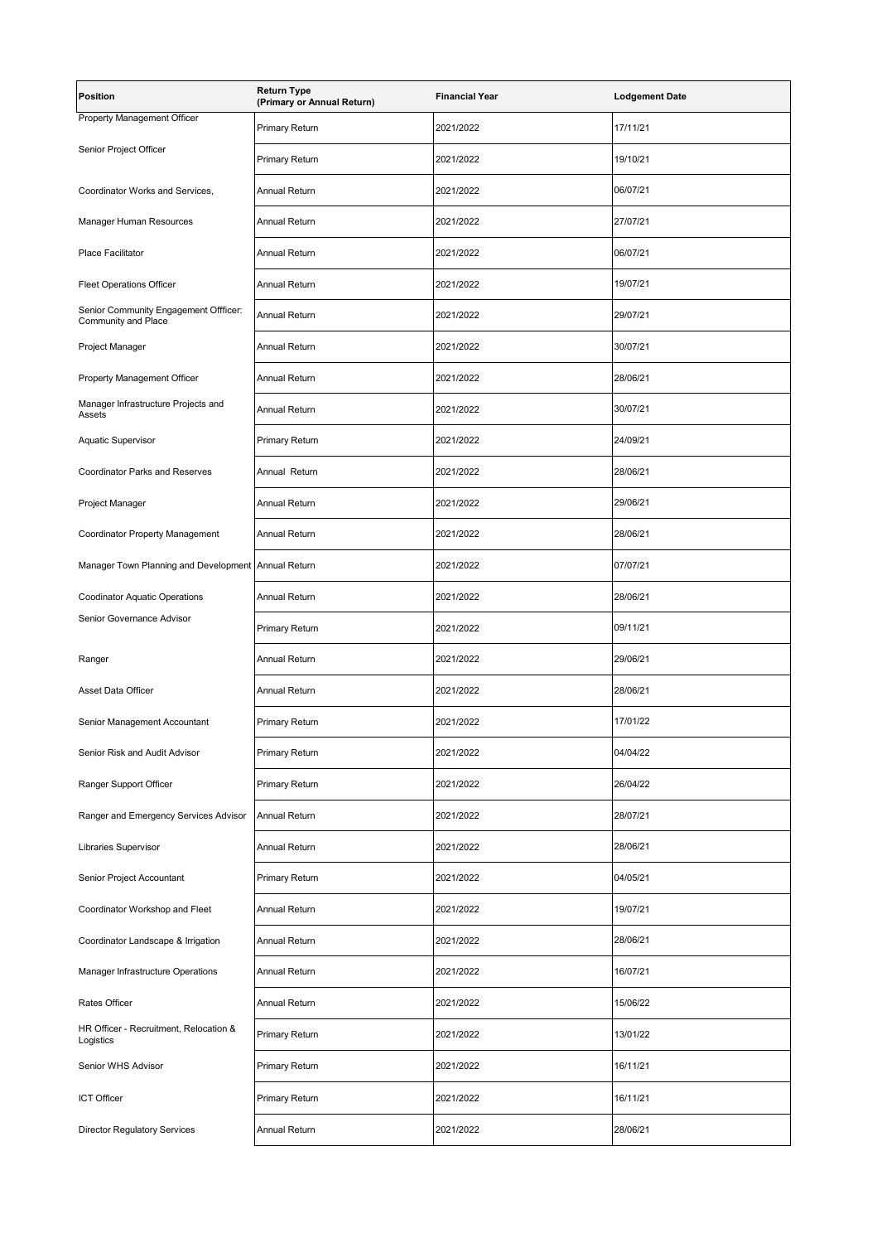| <b>Position</b>                                              | <b>Return Type</b><br>(Primary or Annual Return) | <b>Financial Year</b> | <b>Lodgement Date</b> |
|--------------------------------------------------------------|--------------------------------------------------|-----------------------|-----------------------|
| Property Management Officer                                  | Primary Return                                   | 2021/2022             | 17/11/21              |
| Senior Project Officer                                       | Primary Return                                   | 2021/2022             | 19/10/21              |
| Coordinator Works and Services,                              | Annual Return                                    | 2021/2022             | 06/07/21              |
| Manager Human Resources                                      | <b>Annual Return</b>                             | 2021/2022             | 27/07/21              |
| Place Facilitator                                            | Annual Return                                    | 2021/2022             | 06/07/21              |
| <b>Fleet Operations Officer</b>                              | <b>Annual Return</b>                             | 2021/2022             | 19/07/21              |
| Senior Community Engagement Offficer:<br>Community and Place | Annual Return                                    | 2021/2022             | 29/07/21              |
| Project Manager                                              | <b>Annual Return</b>                             | 2021/2022             | 30/07/21              |
| Property Management Officer                                  | Annual Return                                    | 2021/2022             | 28/06/21              |
| Manager Infrastructure Projects and<br>Assets                | <b>Annual Return</b>                             | 2021/2022             | 30/07/21              |
| Aquatic Supervisor                                           | Primary Return                                   | 2021/2022             | 24/09/21              |
| <b>Coordinator Parks and Reserves</b>                        | Annual Return                                    | 2021/2022             | 28/06/21              |
| Project Manager                                              | <b>Annual Return</b>                             | 2021/2022             | 29/06/21              |
| Coordinator Property Management                              | <b>Annual Return</b>                             | 2021/2022             | 28/06/21              |
| Manager Town Planning and Development Annual Return          |                                                  | 2021/2022             | 07/07/21              |
| <b>Coodinator Aquatic Operations</b>                         | <b>Annual Return</b>                             | 2021/2022             | 28/06/21              |
| Senior Governance Advisor                                    | Primary Return                                   | 2021/2022             | 09/11/21              |
| Ranger                                                       | Annual Return                                    | 2021/2022             | 29/06/21              |
| Asset Data Officer                                           | Annual Return                                    | 2021/2022             | 28/06/21              |
| Senior Management Accountant                                 | <b>Primary Return</b>                            | 2021/2022             | 17/01/22              |
| Senior Risk and Audit Advisor                                | Primary Return                                   | 2021/2022             | 04/04/22              |
| Ranger Support Officer                                       | Primary Return                                   | 2021/2022             | 26/04/22              |
| Ranger and Emergency Services Advisor                        | Annual Return                                    | 2021/2022             | 28/07/21              |
| Libraries Supervisor                                         | Annual Return                                    | 2021/2022             | 28/06/21              |
| Senior Project Accountant                                    | Primary Return                                   | 2021/2022             | 04/05/21              |
| Coordinator Workshop and Fleet                               | Annual Return                                    | 2021/2022             | 19/07/21              |
| Coordinator Landscape & Irrigation                           | Annual Return                                    | 2021/2022             | 28/06/21              |
| Manager Infrastructure Operations                            | Annual Return                                    | 2021/2022             | 16/07/21              |
| Rates Officer                                                | Annual Return                                    | 2021/2022             | 15/06/22              |
| HR Officer - Recruitment, Relocation &<br>Logistics          | Primary Return                                   | 2021/2022             | 13/01/22              |
| Senior WHS Advisor                                           | Primary Return                                   | 2021/2022             | 16/11/21              |
| ICT Officer                                                  | Primary Return                                   | 2021/2022             | 16/11/21              |
| <b>Director Regulatory Services</b>                          | Annual Return                                    | 2021/2022             | 28/06/21              |